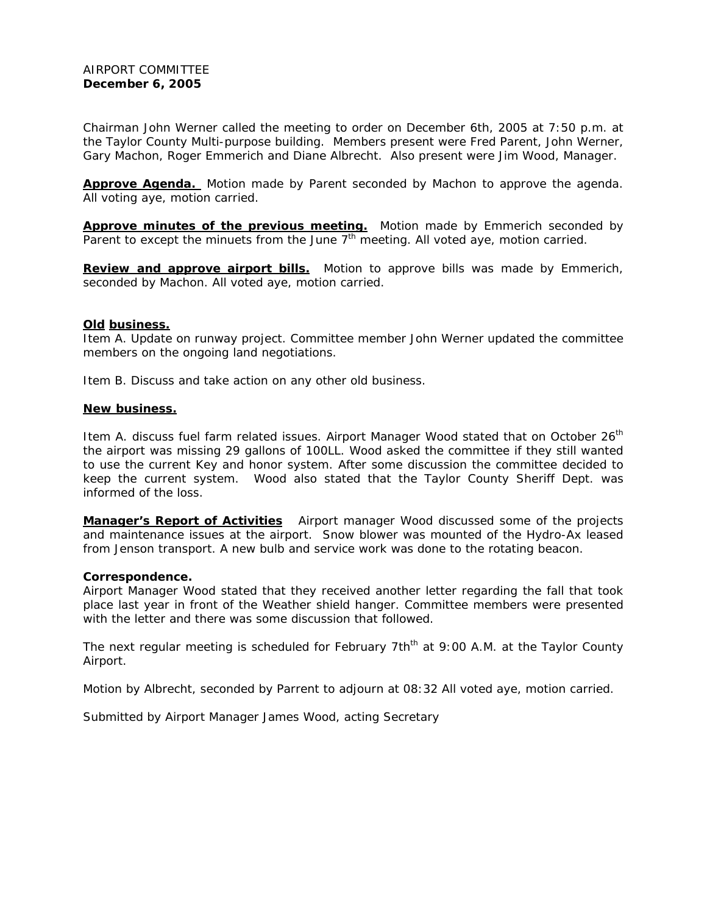Chairman John Werner called the meeting to order on December 6th, 2005 at 7:50 p.m. at the Taylor County Multi-purpose building. Members present were Fred Parent, John Werner, Gary Machon, Roger Emmerich and Diane Albrecht. Also present were Jim Wood, Manager.

**Approve Agenda.** Motion made by Parent seconded by Machon to approve the agenda. All voting aye, motion carried.

Approve minutes of the previous meeting. Motion made by Emmerich seconded by Parent to except the minuets from the June  $7<sup>th</sup>$  meeting. All voted aye, motion carried.

**Review and approve airport bills.** Motion to approve bills was made by Emmerich, seconded by Machon. All voted aye, motion carried.

## **Old business.**

Item A. Update on runway project. Committee member John Werner updated the committee members on the ongoing land negotiations.

Item B. Discuss and take action on any other old business.

## **New business.**

Item A. discuss fuel farm related issues. Airport Manager Wood stated that on October 26<sup>th</sup> the airport was missing 29 gallons of 100LL. Wood asked the committee if they still wanted to use the current Key and honor system. After some discussion the committee decided to keep the current system. Wood also stated that the Taylor County Sheriff Dept. was informed of the loss.

**Manager's Report of Activities** Airport manager Wood discussed some of the projects and maintenance issues at the airport. Snow blower was mounted of the Hydro-Ax leased from Jenson transport. A new bulb and service work was done to the rotating beacon.

## **Correspondence.**

Airport Manager Wood stated that they received another letter regarding the fall that took place last year in front of the Weather shield hanger. Committee members were presented with the letter and there was some discussion that followed.

The next regular meeting is scheduled for February 7th<sup>th</sup> at 9:00 A.M. at the Taylor County Airport.

Motion by Albrecht, seconded by Parrent to adjourn at 08:32 All voted aye, motion carried.

Submitted by Airport Manager James Wood, acting Secretary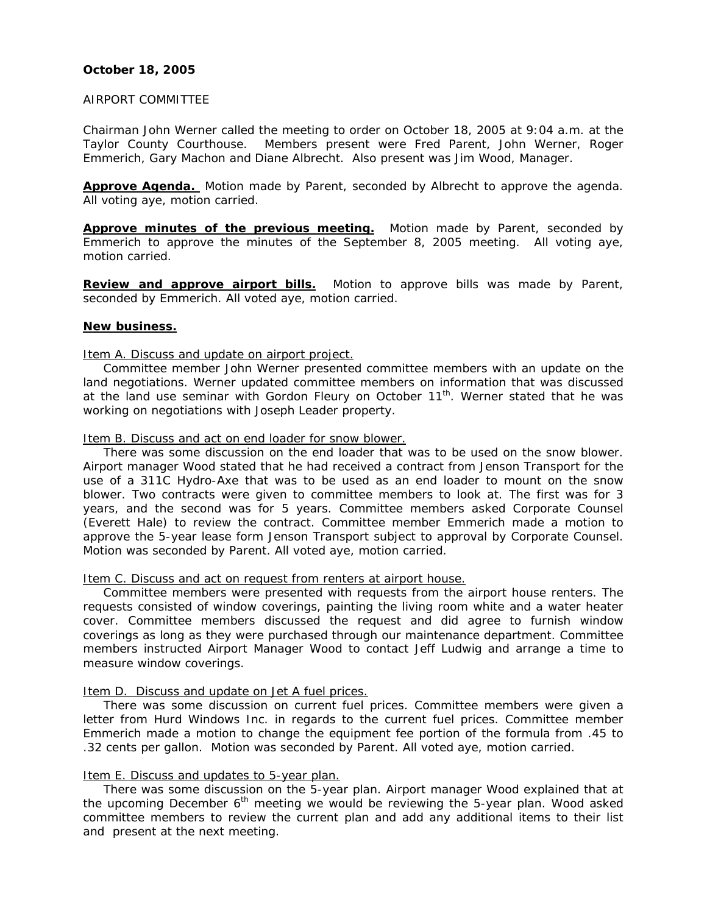## **October 18, 2005**

#### AIRPORT COMMITTEE

Chairman John Werner called the meeting to order on October 18, 2005 at 9:04 a.m. at the Taylor County Courthouse. Members present were Fred Parent, John Werner, Roger Emmerich, Gary Machon and Diane Albrecht. Also present was Jim Wood, Manager.

**Approve Agenda.** Motion made by Parent, seconded by Albrecht to approve the agenda. All voting aye, motion carried.

**Approve minutes of the previous meeting.** Motion made by Parent, seconded by Emmerich to approve the minutes of the September 8, 2005 meeting. All voting aye, motion carried.

**Review and approve airport bills.** Motion to approve bills was made by Parent, seconded by Emmerich. All voted aye, motion carried.

## **New business.**

#### Item A. Discuss and update on airport project.

 Committee member John Werner presented committee members with an update on the land negotiations. Werner updated committee members on information that was discussed at the land use seminar with Gordon Fleury on October  $11<sup>th</sup>$ . Werner stated that he was working on negotiations with Joseph Leader property.

Item B. Discuss and act on end loader for snow blower.

 There was some discussion on the end loader that was to be used on the snow blower. Airport manager Wood stated that he had received a contract from Jenson Transport for the use of a 311C Hydro-Axe that was to be used as an end loader to mount on the snow blower. Two contracts were given to committee members to look at. The first was for 3 years, and the second was for 5 years. Committee members asked Corporate Counsel (Everett Hale) to review the contract. Committee member Emmerich made a motion to approve the 5-year lease form Jenson Transport subject to approval by Corporate Counsel. Motion was seconded by Parent. All voted aye, motion carried.

## Item C. Discuss and act on request from renters at airport house.

 Committee members were presented with requests from the airport house renters. The requests consisted of window coverings, painting the living room white and a water heater cover. Committee members discussed the request and did agree to furnish window coverings as long as they were purchased through our maintenance department. Committee members instructed Airport Manager Wood to contact Jeff Ludwig and arrange a time to measure window coverings.

## Item D. Discuss and update on Jet A fuel prices.

 There was some discussion on current fuel prices. Committee members were given a letter from Hurd Windows Inc. in regards to the current fuel prices. Committee member Emmerich made a motion to change the equipment fee portion of the formula from .45 to .32 cents per gallon. Motion was seconded by Parent. All voted aye, motion carried.

## Item E. Discuss and updates to 5-year plan.

 There was some discussion on the 5-year plan. Airport manager Wood explained that at the upcoming December  $6<sup>th</sup>$  meeting we would be reviewing the 5-year plan. Wood asked committee members to review the current plan and add any additional items to their list and present at the next meeting.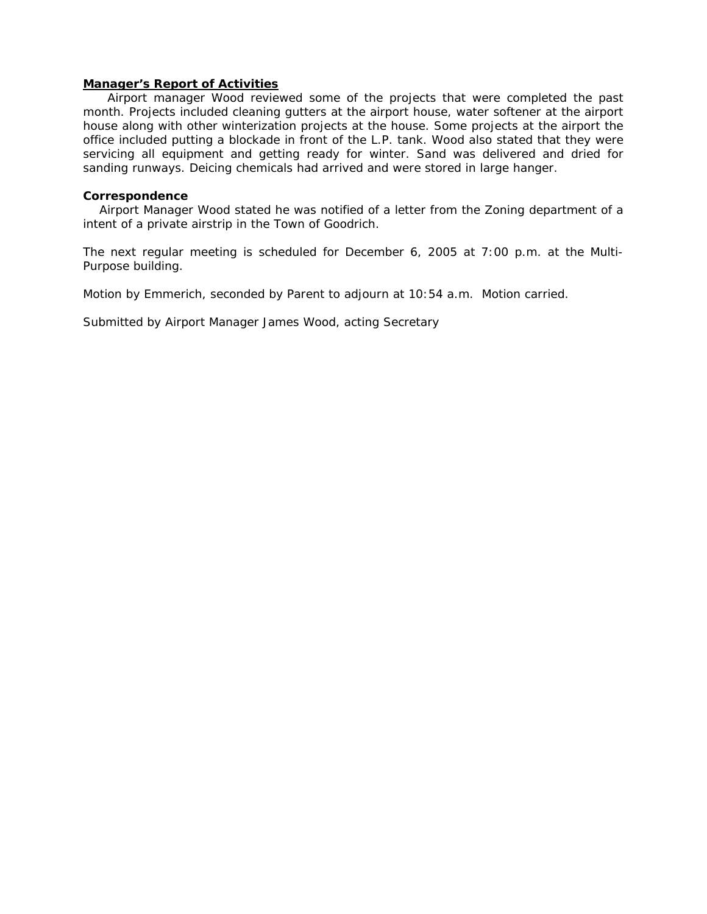#### **Manager's Report of Activities**

 Airport manager Wood reviewed some of the projects that were completed the past month. Projects included cleaning gutters at the airport house, water softener at the airport house along with other winterization projects at the house. Some projects at the airport the office included putting a blockade in front of the L.P. tank. Wood also stated that they were servicing all equipment and getting ready for winter. Sand was delivered and dried for sanding runways. Deicing chemicals had arrived and were stored in large hanger.

#### **Correspondence**

 Airport Manager Wood stated he was notified of a letter from the Zoning department of a intent of a private airstrip in the Town of Goodrich.

The next regular meeting is scheduled for December 6, 2005 at 7:00 p.m. at the Multi-Purpose building.

Motion by Emmerich, seconded by Parent to adjourn at 10:54 a.m. Motion carried.

Submitted by Airport Manager James Wood, acting Secretary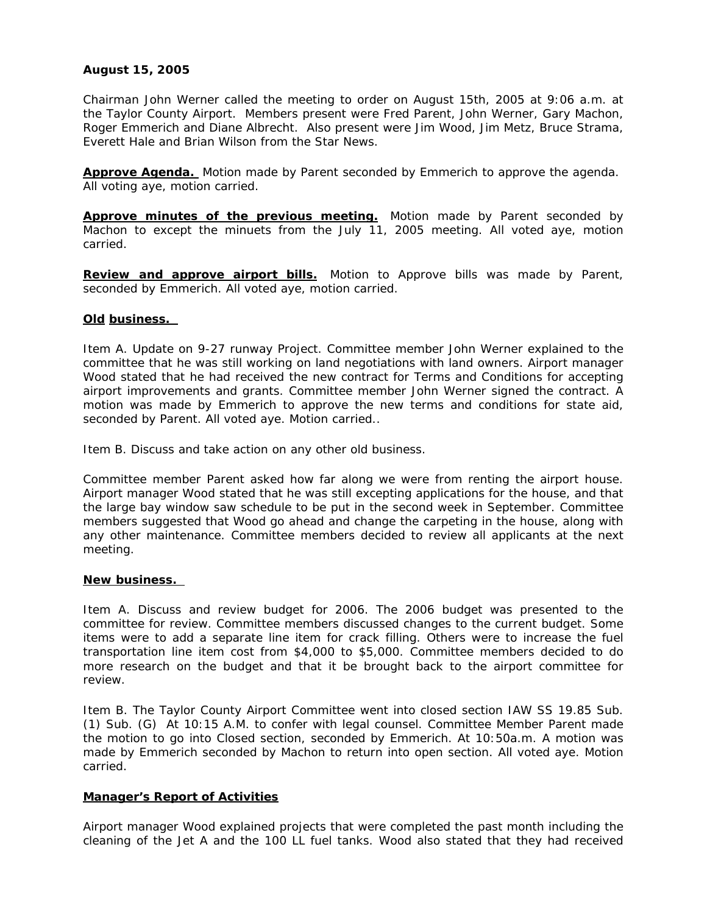# **August 15, 2005**

Chairman John Werner called the meeting to order on August 15th, 2005 at 9:06 a.m. at the Taylor County Airport. Members present were Fred Parent, John Werner, Gary Machon, Roger Emmerich and Diane Albrecht. Also present were Jim Wood, Jim Metz, Bruce Strama, Everett Hale and Brian Wilson from the Star News.

**Approve Agenda.** Motion made by Parent seconded by Emmerich to approve the agenda. All voting aye, motion carried.

**Approve minutes of the previous meeting.** Motion made by Parent seconded by Machon to except the minuets from the July 11, 2005 meeting. All voted aye, motion carried.

**Review and approve airport bills.** Motion to Approve bills was made by Parent, seconded by Emmerich. All voted aye, motion carried.

## **Old business.**

Item A. Update on 9-27 runway Project. Committee member John Werner explained to the committee that he was still working on land negotiations with land owners. Airport manager Wood stated that he had received the new contract for Terms and Conditions for accepting airport improvements and grants. Committee member John Werner signed the contract. A motion was made by Emmerich to approve the new terms and conditions for state aid, seconded by Parent. All voted aye. Motion carried..

Item B. Discuss and take action on any other old business.

Committee member Parent asked how far along we were from renting the airport house. Airport manager Wood stated that he was still excepting applications for the house, and that the large bay window saw schedule to be put in the second week in September. Committee members suggested that Wood go ahead and change the carpeting in the house, along with any other maintenance. Committee members decided to review all applicants at the next meeting.

## **New business.**

Item A. Discuss and review budget for 2006. The 2006 budget was presented to the committee for review. Committee members discussed changes to the current budget. Some items were to add a separate line item for crack filling. Others were to increase the fuel transportation line item cost from \$4,000 to \$5,000. Committee members decided to do more research on the budget and that it be brought back to the airport committee for review.

Item B. The Taylor County Airport Committee went into closed section IAW SS 19.85 Sub. (1) Sub. (G) At 10:15 A.M. to confer with legal counsel. Committee Member Parent made the motion to go into Closed section, seconded by Emmerich. At 10:50a.m. A motion was made by Emmerich seconded by Machon to return into open section. All voted aye. Motion carried.

# **Manager's Report of Activities**

Airport manager Wood explained projects that were completed the past month including the cleaning of the Jet A and the 100 LL fuel tanks. Wood also stated that they had received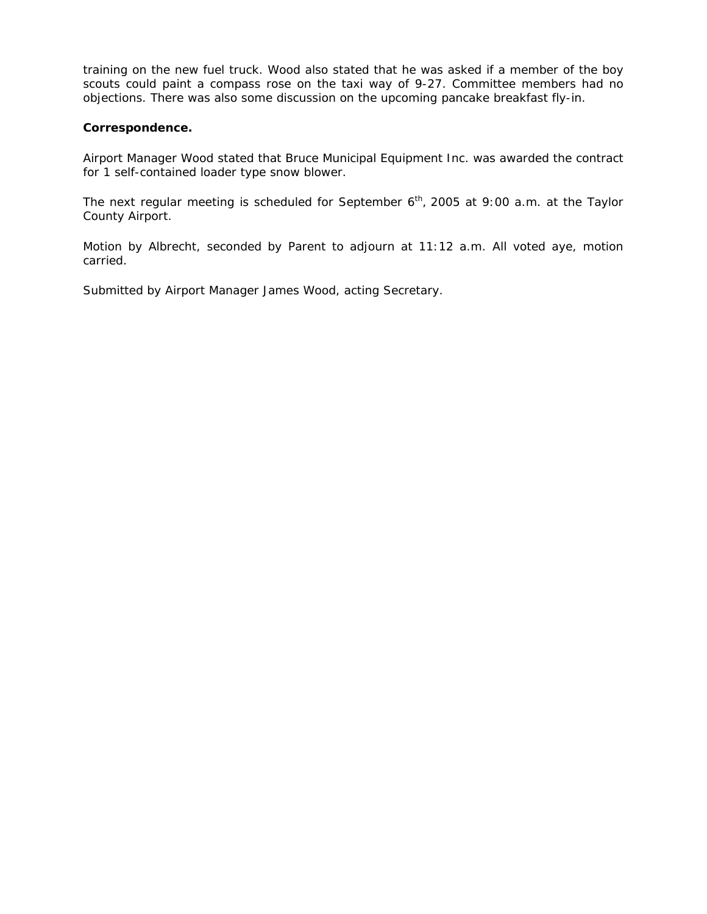training on the new fuel truck. Wood also stated that he was asked if a member of the boy scouts could paint a compass rose on the taxi way of 9-27. Committee members had no objections. There was also some discussion on the upcoming pancake breakfast fly-in.

## **Correspondence.**

Airport Manager Wood stated that Bruce Municipal Equipment Inc. was awarded the contract for 1 self-contained loader type snow blower.

The next regular meeting is scheduled for September  $6<sup>th</sup>$ , 2005 at 9:00 a.m. at the Taylor County Airport.

Motion by Albrecht, seconded by Parent to adjourn at 11:12 a.m. All voted aye, motion carried.

Submitted by Airport Manager James Wood, acting Secretary.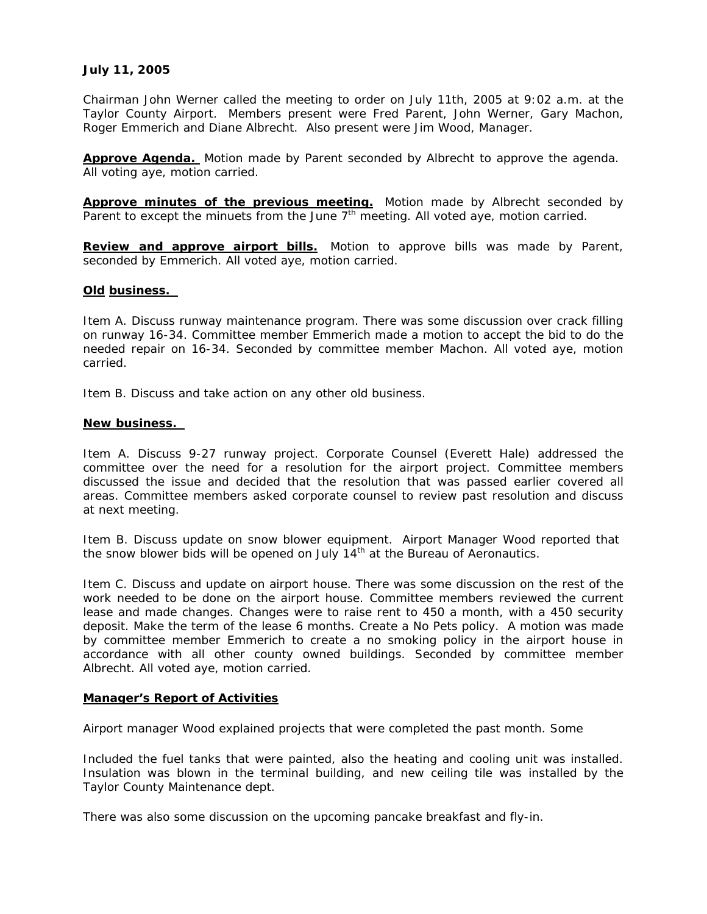# **July 11, 2005**

Chairman John Werner called the meeting to order on July 11th, 2005 at 9:02 a.m. at the Taylor County Airport. Members present were Fred Parent, John Werner, Gary Machon, Roger Emmerich and Diane Albrecht. Also present were Jim Wood, Manager.

**Approve Agenda.** Motion made by Parent seconded by Albrecht to approve the agenda. All voting aye, motion carried.

**Approve minutes of the previous meeting.** Motion made by Albrecht seconded by Parent to except the minuets from the June 7<sup>th</sup> meeting. All voted aye, motion carried.

**Review and approve airport bills.** Motion to approve bills was made by Parent, seconded by Emmerich. All voted aye, motion carried.

## **Old business.**

Item A. Discuss runway maintenance program. There was some discussion over crack filling on runway 16-34. Committee member Emmerich made a motion to accept the bid to do the needed repair on 16-34. Seconded by committee member Machon. All voted aye, motion carried.

Item B. Discuss and take action on any other old business.

## **New business.**

Item A. Discuss 9-27 runway project. Corporate Counsel (Everett Hale) addressed the committee over the need for a resolution for the airport project. Committee members discussed the issue and decided that the resolution that was passed earlier covered all areas. Committee members asked corporate counsel to review past resolution and discuss at next meeting.

Item B. Discuss update on snow blower equipment. Airport Manager Wood reported that the snow blower bids will be opened on July  $14<sup>th</sup>$  at the Bureau of Aeronautics.

Item C. Discuss and update on airport house. There was some discussion on the rest of the work needed to be done on the airport house. Committee members reviewed the current lease and made changes. Changes were to raise rent to 450 a month, with a 450 security deposit. Make the term of the lease 6 months. Create a No Pets policy. A motion was made by committee member Emmerich to create a no smoking policy in the airport house in accordance with all other county owned buildings. Seconded by committee member Albrecht. All voted aye, motion carried.

## **Manager's Report of Activities**

Airport manager Wood explained projects that were completed the past month. Some

Included the fuel tanks that were painted, also the heating and cooling unit was installed. Insulation was blown in the terminal building, and new ceiling tile was installed by the Taylor County Maintenance dept.

There was also some discussion on the upcoming pancake breakfast and fly-in.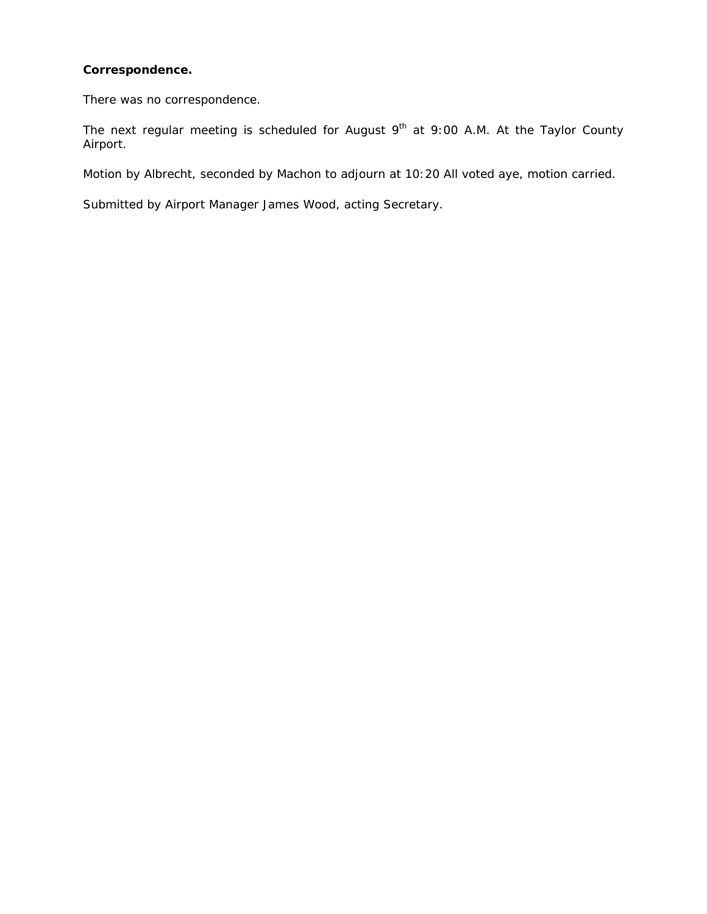# **Correspondence.**

There was no correspondence.

The next regular meeting is scheduled for August  $9<sup>th</sup>$  at  $9:00$  A.M. At the Taylor County Airport.

Motion by Albrecht, seconded by Machon to adjourn at 10:20 All voted aye, motion carried.

Submitted by Airport Manager James Wood, acting Secretary.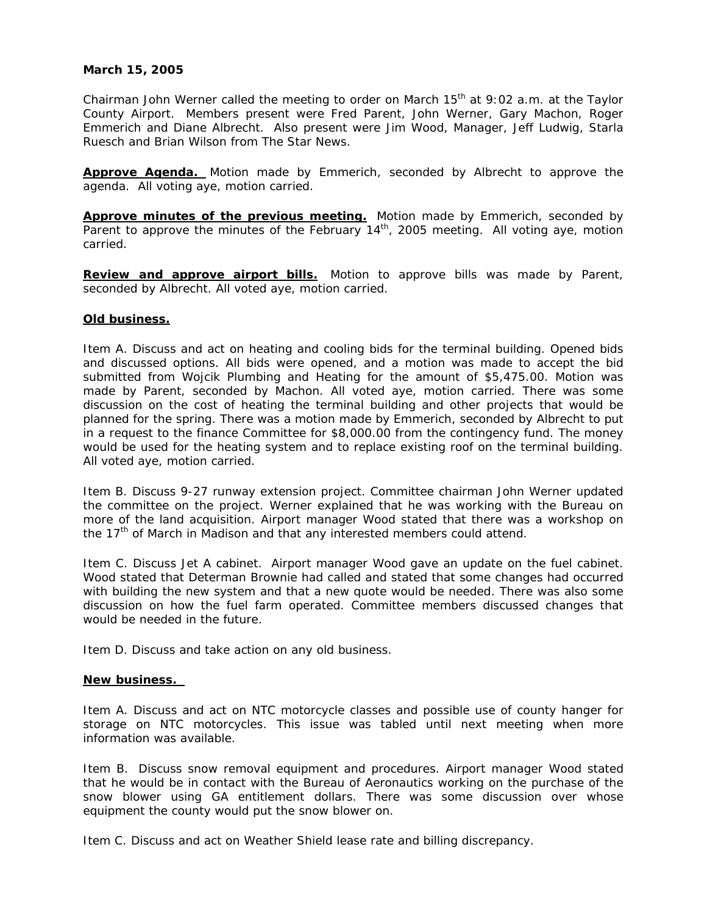# **March 15, 2005**

Chairman John Werner called the meeting to order on March  $15<sup>th</sup>$  at 9:02 a.m. at the Taylor County Airport. Members present were Fred Parent, John Werner, Gary Machon, Roger Emmerich and Diane Albrecht. Also present were Jim Wood, Manager, Jeff Ludwig, Starla Ruesch and Brian Wilson from The Star News.

**Approve Agenda.** Motion made by Emmerich, seconded by Albrecht to approve the agenda. All voting aye, motion carried.

**Approve minutes of the previous meeting.** Motion made by Emmerich, seconded by Parent to approve the minutes of the February 14<sup>th</sup>, 2005 meeting. All voting aye, motion carried.

**Review and approve airport bills.** Motion to approve bills was made by Parent, seconded by Albrecht. All voted aye, motion carried.

## **Old business.**

Item A. Discuss and act on heating and cooling bids for the terminal building. Opened bids and discussed options. All bids were opened, and a motion was made to accept the bid submitted from Wojcik Plumbing and Heating for the amount of \$5,475.00. Motion was made by Parent, seconded by Machon. All voted aye, motion carried. There was some discussion on the cost of heating the terminal building and other projects that would be planned for the spring. There was a motion made by Emmerich, seconded by Albrecht to put in a request to the finance Committee for \$8,000.00 from the contingency fund. The money would be used for the heating system and to replace existing roof on the terminal building. All voted aye, motion carried.

Item B. Discuss 9-27 runway extension project. Committee chairman John Werner updated the committee on the project. Werner explained that he was working with the Bureau on more of the land acquisition. Airport manager Wood stated that there was a workshop on the 17<sup>th</sup> of March in Madison and that any interested members could attend.

Item C. Discuss Jet A cabinet. Airport manager Wood gave an update on the fuel cabinet. Wood stated that Determan Brownie had called and stated that some changes had occurred with building the new system and that a new quote would be needed. There was also some discussion on how the fuel farm operated. Committee members discussed changes that would be needed in the future.

Item D. Discuss and take action on any old business.

#### **New business.**

Item A. Discuss and act on NTC motorcycle classes and possible use of county hanger for storage on NTC motorcycles. This issue was tabled until next meeting when more information was available.

Item B. Discuss snow removal equipment and procedures. Airport manager Wood stated that he would be in contact with the Bureau of Aeronautics working on the purchase of the snow blower using GA entitlement dollars. There was some discussion over whose equipment the county would put the snow blower on.

Item C. Discuss and act on Weather Shield lease rate and billing discrepancy.